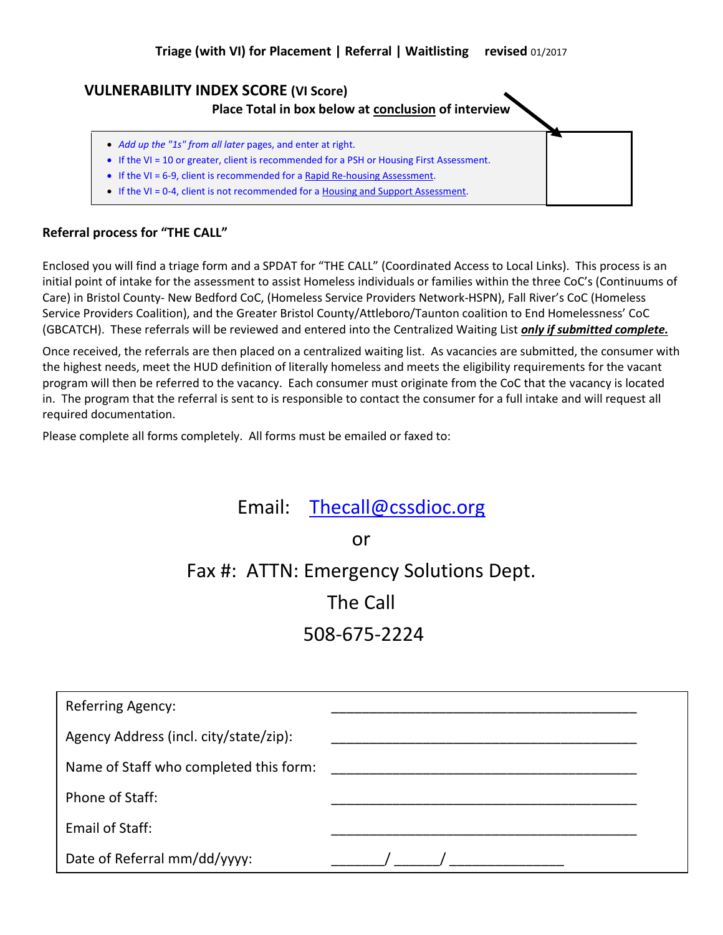## **VULNERABILITY INDEX SCORE (VI Score)**

**Place Total in box below at conclusion of interview**

- *Add up the "1s" from all later* pages, and enter at right.
- If the VI = 10 or greater, client is recommended for a PSH or Housing First Assessment.
- If the VI = 6-9, client is recommended for a Rapid Re-housing Assessment.
- If the VI = 0-4, client is not recommended for a Housing and Support Assessment.

#### **Referral process for "THE CALL"**

Enclosed you will find a triage form and a SPDAT for "THE CALL" (Coordinated Access to Local Links). This process is an initial point of intake for the assessment to assist Homeless individuals or families within the three CoC's (Continuums of Care) in Bristol County- New Bedford CoC, (Homeless Service Providers Network-HSPN), Fall River's CoC (Homeless Service Providers Coalition), and the Greater Bristol County/Attleboro/Taunton coalition to End Homelessness' CoC (GBCATCH). These referrals will be reviewed and entered into the Centralized Waiting List *only if submitted complete.*

Once received, the referrals are then placed on a centralized waiting list. As vacancies are submitted, the consumer with the highest needs, meet the HUD definition of literally homeless and meets the eligibility requirements for the vacant program will then be referred to the vacancy. Each consumer must originate from the CoC that the vacancy is located in. The program that the referral is sent to is responsible to contact the consumer for a full intake and will request all required documentation.

Please complete all forms completely. All forms must be emailed or faxed to:

# Email: [Thecall@cssdioc.org](mailto:Thecall@cssdioc.org)

or

Fax #: ATTN: Emergency Solutions Dept.

The Call

508-675-2224

| <b>Referring Agency:</b>               |  |
|----------------------------------------|--|
| Agency Address (incl. city/state/zip): |  |
| Name of Staff who completed this form: |  |
| Phone of Staff:                        |  |
| Email of Staff:                        |  |
| Date of Referral mm/dd/yyyy:           |  |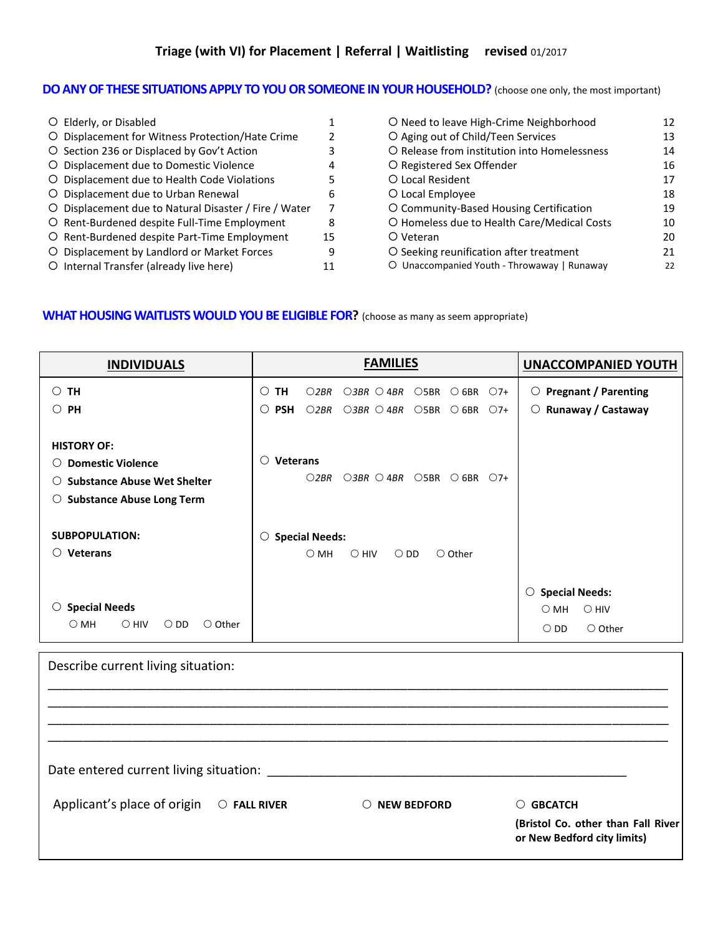#### **DO ANY OF THESE SITUATIONS APPLY TO YOU OR SOMEONE IN YOUR HOUSEHOLD?** (choose one only, the most important)

| O Elderly, or Disabled                                |    |  |
|-------------------------------------------------------|----|--|
| O Displacement for Witness Protection/Hate Crime      | 2  |  |
| O Section 236 or Displaced by Gov't Action            | 3  |  |
| O Displacement due to Domestic Violence               | 4  |  |
| O Displacement due to Health Code Violations          | 5  |  |
| O Displacement due to Urban Renewal                   | 6  |  |
| O Displacement due to Natural Disaster / Fire / Water | 7  |  |
| O Rent-Burdened despite Full-Time Employment          | 8  |  |
| O Rent-Burdened despite Part-Time Employment          | 15 |  |
| O Displacement by Landlord or Market Forces           | 9  |  |
| O Internal Transfer (already live here)               | 11 |  |

O Need to leave High-Crime Neighborhood 12 O Aging out of Child/Teen Services 13 O Release from institution into Homelessness 14 O Registered Sex Offender 16 O Local Resident 17 O Local Employee 18 O Community-Based Housing Certification 19 O Homeless due to Health Care/Medical Costs 10 O Veteran 20 O Seeking reunification after treatment 21 Unaccompanied Youth - Throwaway | Runaway 22

#### **WHAT HOUSING WAITLISTS WOULD YOU BE ELIGIBLE FOR?** (choose as many as seem appropriate)

| <b>INDIVIDUALS</b>                                                                                                                                           | <b>FAMILIES</b>                                                                                                                                                                                          | <b>UNACCOMPANIED YOUTH</b>                                                                     |
|--------------------------------------------------------------------------------------------------------------------------------------------------------------|----------------------------------------------------------------------------------------------------------------------------------------------------------------------------------------------------------|------------------------------------------------------------------------------------------------|
| TH<br>0<br>PH<br>O                                                                                                                                           | <b>TH</b><br>O2BR<br>$O3BR$ $O4BR$<br>$\bigcirc$ 5BR<br>$\bigcirc$ 6BR $\bigcirc$ 7+<br>O<br>$\circ$<br><b>PSH</b><br>O2BR<br>$\bigcirc$ 3BR $\bigcirc$ 4BR<br>$\bigcirc$ 5BR<br>$\bigcirc$ 6BR<br>$O7+$ | <b>Pregnant / Parenting</b><br>$\circ$<br>Runaway / Castaway<br>$\circ$                        |
| <b>HISTORY OF:</b><br><b>Domestic Violence</b><br>O<br><b>Substance Abuse Wet Shelter</b><br>$\left( \right)$<br><b>Substance Abuse Long Term</b><br>$\circ$ | <b>Veterans</b><br>◯<br>$O3BR$ $O4BR$ $O5BR$<br>$\bigcirc$ 6BR<br>O2BR<br>$O7+$                                                                                                                          |                                                                                                |
| <b>SUBPOPULATION:</b><br><b>Veterans</b><br>O                                                                                                                | $\circ$ Special Needs:<br>$\bigcirc$ HIV<br>$\bigcirc$ DD<br>$\bigcirc$ MH<br>$\circ$ Other                                                                                                              |                                                                                                |
| <b>Special Needs</b><br>$\circ$<br>$\bigcirc$ HIV<br>$\bigcirc$ MH<br>$\bigcirc$ DD<br>$\circ$ Other                                                         |                                                                                                                                                                                                          | $\circ$ Special Needs:<br>$\bigcirc$ MH<br>$\bigcirc$ HIV<br>$\bigcirc$ DD<br>$\bigcirc$ Other |

Describe current living situation: \_\_\_\_\_\_\_\_\_\_\_\_\_\_\_\_\_\_\_\_\_\_\_\_\_\_\_\_\_\_\_\_\_\_\_\_\_\_\_\_\_\_\_\_\_\_\_\_\_\_\_\_\_\_\_\_\_\_\_\_\_\_\_\_\_\_\_\_\_\_\_\_\_\_\_\_\_\_\_\_\_\_\_\_\_\_\_\_ \_\_\_\_\_\_\_\_\_\_\_\_\_\_\_\_\_\_\_\_\_\_\_\_\_\_\_\_\_\_\_\_\_\_\_\_\_\_\_\_\_\_\_\_\_\_\_\_\_\_\_\_\_\_\_\_\_\_\_\_\_\_\_\_\_\_\_\_\_\_\_\_\_\_\_\_\_\_\_\_\_\_\_\_\_\_\_\_ \_\_\_\_\_\_\_\_\_\_\_\_\_\_\_\_\_\_\_\_\_\_\_\_\_\_\_\_\_\_\_\_\_\_\_\_\_\_\_\_\_\_\_\_\_\_\_\_\_\_\_\_\_\_\_\_\_\_\_\_\_\_\_\_\_\_\_\_\_\_\_\_\_\_\_\_\_\_\_\_\_\_\_\_\_\_\_\_ \_\_\_\_\_\_\_\_\_\_\_\_\_\_\_\_\_\_\_\_\_\_\_\_\_\_\_\_\_\_\_\_\_\_\_\_\_\_\_\_\_\_\_\_\_\_\_\_\_\_\_\_\_\_\_\_\_\_\_\_\_\_\_\_\_\_\_\_\_\_\_\_\_\_\_\_\_\_\_\_\_\_\_\_\_\_\_\_ Date entered current living situation: \_\_\_\_\_\_\_\_\_\_\_\_\_\_\_\_\_\_\_\_\_\_\_\_\_\_\_\_\_\_\_\_\_\_\_\_\_\_\_\_\_\_\_\_\_\_\_\_\_\_\_ Applicant's place of origin  $\bigcirc$  FALL RIVER  $\bigcirc$  NEW BEDFORD  $\bigcirc$  GBCATCH **(Bristol Co. other than Fall River or New Bedford city limits)**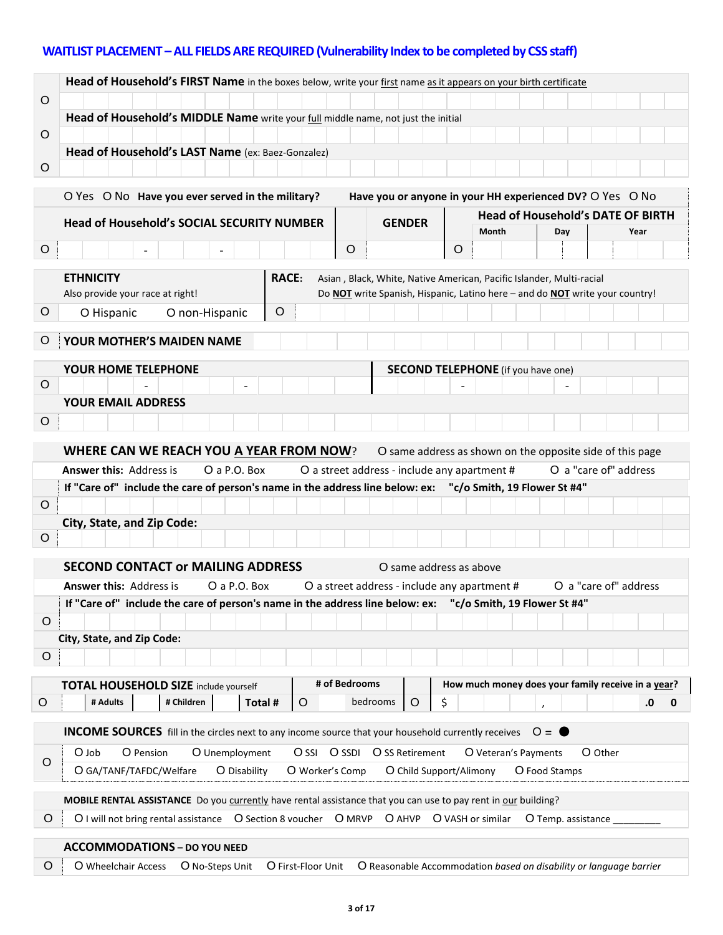# **WAITLIST PLACEMENT –ALL FIELDS ARE REQUIRED(Vulnerability Index to be completed by CSS staff)**

|         | Head of Household's FIRST Name in the boxes below, write your first name as it appears on your birth certificate                   |                                                                                                                                                      |       |  |                                                    |                       |         |
|---------|------------------------------------------------------------------------------------------------------------------------------------|------------------------------------------------------------------------------------------------------------------------------------------------------|-------|--|----------------------------------------------------|-----------------------|---------|
| O       |                                                                                                                                    |                                                                                                                                                      |       |  |                                                    |                       |         |
| O       | Head of Household's MIDDLE Name write your full middle name, not just the initial                                                  |                                                                                                                                                      |       |  |                                                    |                       |         |
|         | Head of Household's LAST Name (ex: Baez-Gonzalez)                                                                                  |                                                                                                                                                      |       |  |                                                    |                       |         |
| $\circ$ |                                                                                                                                    |                                                                                                                                                      |       |  |                                                    |                       |         |
|         |                                                                                                                                    |                                                                                                                                                      |       |  |                                                    |                       |         |
|         | O Yes O No Have you ever served in the military?                                                                                   | Have you or anyone in your HH experienced DV? O Yes O No                                                                                             |       |  | <b>Head of Household's DATE OF BIRTH</b>           |                       |         |
|         | <b>Head of Household's SOCIAL SECURITY NUMBER</b>                                                                                  | <b>GENDER</b>                                                                                                                                        | Month |  | Day                                                |                       | Year    |
| $\circ$ | O                                                                                                                                  |                                                                                                                                                      | O     |  |                                                    |                       |         |
|         |                                                                                                                                    |                                                                                                                                                      |       |  |                                                    |                       |         |
|         | <b>ETHNICITY</b><br><b>RACE:</b><br>Also provide your race at right!                                                               | Asian, Black, White, Native American, Pacific Islander, Multi-racial<br>Do NOT write Spanish, Hispanic, Latino here - and do NOT write your country! |       |  |                                                    |                       |         |
| O       | $\circ$<br>O Hispanic<br>O non-Hispanic                                                                                            |                                                                                                                                                      |       |  |                                                    |                       |         |
|         |                                                                                                                                    |                                                                                                                                                      |       |  |                                                    |                       |         |
| O       | YOUR MOTHER'S MAIDEN NAME                                                                                                          |                                                                                                                                                      |       |  |                                                    |                       |         |
|         | <b>YOUR HOME TELEPHONE</b>                                                                                                         | <b>SECOND TELEPHONE</b> (if you have one)                                                                                                            |       |  |                                                    |                       |         |
| O       |                                                                                                                                    |                                                                                                                                                      |       |  |                                                    |                       |         |
|         | <b>YOUR EMAIL ADDRESS</b>                                                                                                          |                                                                                                                                                      |       |  |                                                    |                       |         |
| O       |                                                                                                                                    |                                                                                                                                                      |       |  |                                                    |                       |         |
|         | <b>WHERE CAN WE REACH YOU A YEAR FROM NOW?</b>                                                                                     | O same address as shown on the opposite side of this page                                                                                            |       |  |                                                    |                       |         |
|         | Answer this: Address is<br>O a P.O. Box                                                                                            | O a street address - include any apartment #                                                                                                         |       |  | O a "care of" address                              |                       |         |
|         | If "Care of" include the care of person's name in the address line below: ex: "c/o Smith, 19 Flower St #4"                         |                                                                                                                                                      |       |  |                                                    |                       |         |
| O       |                                                                                                                                    |                                                                                                                                                      |       |  |                                                    |                       |         |
|         | City, State, and Zip Code:                                                                                                         |                                                                                                                                                      |       |  |                                                    |                       |         |
| $\circ$ |                                                                                                                                    |                                                                                                                                                      |       |  |                                                    |                       |         |
|         | <b>SECOND CONTACT or MAILING ADDRESS</b><br>O same address as above                                                                |                                                                                                                                                      |       |  |                                                    |                       |         |
|         | <b>Answer this: Address is</b><br>O a P.O. Box                                                                                     | O a street address - include any apartment #                                                                                                         |       |  |                                                    | O a "care of" address |         |
|         | If "Care of" include the care of person's name in the address line below: ex:                                                      |                                                                                                                                                      |       |  | "c/o Smith, 19 Flower St #4"                       |                       |         |
| $\circ$ |                                                                                                                                    |                                                                                                                                                      |       |  |                                                    |                       |         |
|         | City, State, and Zip Code:                                                                                                         |                                                                                                                                                      |       |  |                                                    |                       |         |
| $\circ$ |                                                                                                                                    |                                                                                                                                                      |       |  |                                                    |                       |         |
|         | # of Bedrooms<br><b>TOTAL HOUSEHOLD SIZE include yourself</b>                                                                      |                                                                                                                                                      |       |  | How much money does your family receive in a year? |                       |         |
| O       | # Adults<br># Children<br>$\circ$<br>Total #                                                                                       | \$<br>bedrooms<br>$\circ$                                                                                                                            |       |  |                                                    |                       | .0<br>0 |
|         |                                                                                                                                    |                                                                                                                                                      |       |  |                                                    |                       |         |
|         | <b>INCOME SOURCES</b> fill in the circles next to any income source that your household currently receives<br>$O = \bullet$        |                                                                                                                                                      |       |  |                                                    |                       |         |
| O       | O SSI O SSDI<br>O Job<br>O Pension<br>O Unemployment<br>O SS Retirement<br>O Other<br>O Veteran's Payments                         |                                                                                                                                                      |       |  |                                                    |                       |         |
|         | O GA/TANF/TAFDC/Welfare<br>O Worker's Comp<br>O Child Support/Alimony<br>O Disability<br>O Food Stamps                             |                                                                                                                                                      |       |  |                                                    |                       |         |
|         | MOBILE RENTAL ASSISTANCE Do you currently have rental assistance that you can use to pay rent in our building?                     |                                                                                                                                                      |       |  |                                                    |                       |         |
| $\circ$ | O I will not bring rental assistance  O Section 8 voucher  O MRVP  O AHVP<br>O VASH or similar<br>O Temp. assistance               |                                                                                                                                                      |       |  |                                                    |                       |         |
|         | <b>ACCOMMODATIONS - DO YOU NEED</b>                                                                                                |                                                                                                                                                      |       |  |                                                    |                       |         |
| $\circ$ | O Wheelchair Access<br>O No-Steps Unit<br>O First-Floor Unit<br>O Reasonable Accommodation based on disability or language barrier |                                                                                                                                                      |       |  |                                                    |                       |         |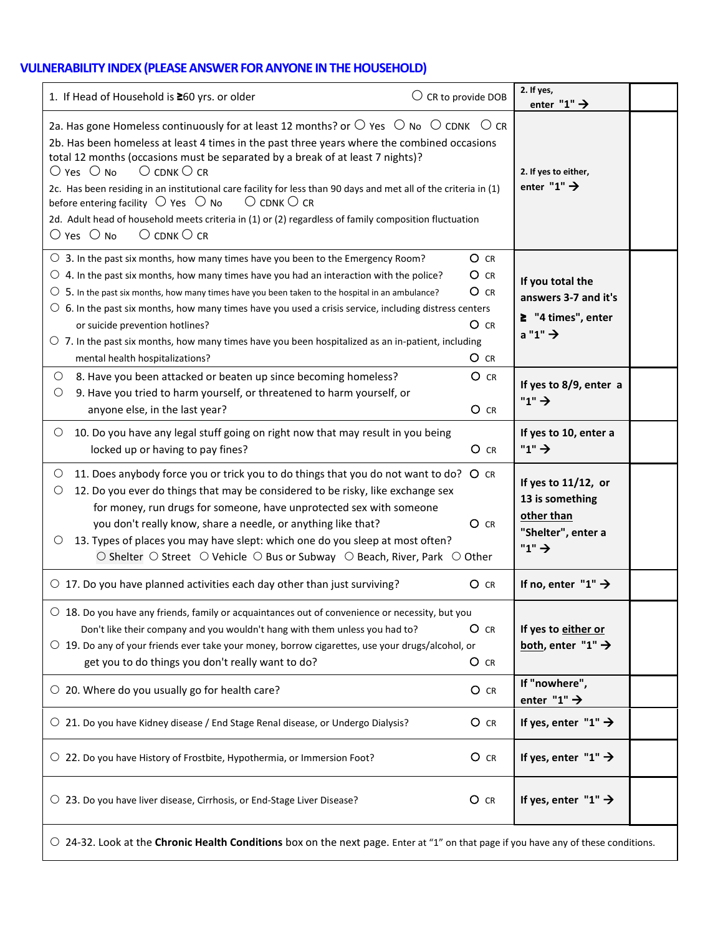# **VULNERABILITY INDEX (PLEASE ANSWER FOR ANYONE IN THE HOUSEHOLD)**

| 1. If Head of Household is ≥60 yrs. or older                                                                                                                                                                                                                                                                                                                                                                                                                                                                                                                                                                                                                                                                                                                 | $\bigcirc$ CR to provide DOB                       | 2. If yes,<br>enter "1" $\rightarrow$                                                               |  |  |
|--------------------------------------------------------------------------------------------------------------------------------------------------------------------------------------------------------------------------------------------------------------------------------------------------------------------------------------------------------------------------------------------------------------------------------------------------------------------------------------------------------------------------------------------------------------------------------------------------------------------------------------------------------------------------------------------------------------------------------------------------------------|----------------------------------------------------|-----------------------------------------------------------------------------------------------------|--|--|
| 2a. Has gone Homeless continuously for at least 12 months? or $\bigcirc$ yes $\bigcirc$ No $\bigcirc$ CDNK $\bigcirc$ CR<br>2b. Has been homeless at least 4 times in the past three years where the combined occasions<br>total 12 months (occasions must be separated by a break of at least 7 nights)?<br>$\bigcirc$ Yes $\bigcirc$ No<br>$\bigcirc$ cDNK $\bigcirc$ cr<br>2c. Has been residing in an institutional care facility for less than 90 days and met all of the criteria in (1)<br>$\bigcirc$ cDNK $\bigcirc$ cr<br>before entering facility $\circ$ Yes $\circ$ No<br>2d. Adult head of household meets criteria in (1) or (2) regardless of family composition fluctuation<br>$\bigcirc$ Yes $\bigcirc$ No<br>$\bigcirc$ cDNK $\bigcirc$ cr |                                                    | 2. If yes to either,<br>enter "1" $\rightarrow$                                                     |  |  |
| $\circ$ 3. In the past six months, how many times have you been to the Emergency Room?<br>$\circ$ 4. In the past six months, how many times have you had an interaction with the police?<br>$\circ$ 5. In the past six months, how many times have you been taken to the hospital in an ambulance?<br>$\circ$ 6. In the past six months, how many times have you used a crisis service, including distress centers<br>or suicide prevention hotlines?<br>$\circlearrowright$ 7. In the past six months, how many times have you been hospitalized as an in-patient, including<br>mental health hospitalizations?                                                                                                                                             | $O$ $CR$<br>$O$ CR<br>$O$ CR<br>$O$ $CR$<br>$O$ CR | If you total the<br>answers 3-7 and it's<br>$2$ "4 times", enter<br>$a "1" \rightarrow$             |  |  |
| $\circ$<br>8. Have you been attacked or beaten up since becoming homeless?<br>9. Have you tried to harm yourself, or threatened to harm yourself, or<br>$\circ$<br>anyone else, in the last year?                                                                                                                                                                                                                                                                                                                                                                                                                                                                                                                                                            | O CR<br>$O$ CR                                     | If yes to 8/9, enter a<br>" $1$ " $\rightarrow$                                                     |  |  |
| 10. Do you have any legal stuff going on right now that may result in you being<br>$\circ$<br>locked up or having to pay fines?                                                                                                                                                                                                                                                                                                                                                                                                                                                                                                                                                                                                                              | $O$ CR                                             | If yes to 10, enter a<br>" $1" \rightarrow$                                                         |  |  |
| 11. Does anybody force you or trick you to do things that you do not want to do? O CR<br>$\circ$<br>12. Do you ever do things that may be considered to be risky, like exchange sex<br>O<br>for money, run drugs for someone, have unprotected sex with someone<br>you don't really know, share a needle, or anything like that?<br>13. Types of places you may have slept: which one do you sleep at most often?<br>O<br>○ Shelter ○ Street ○ Vehicle ○ Bus or Subway ○ Beach, River, Park ○ Other                                                                                                                                                                                                                                                          | O CR                                               | If yes to 11/12, or<br>13 is something<br>other than<br>"Shelter", enter a<br>" $1$ " $\rightarrow$ |  |  |
| $\circ$ 17. Do you have planned activities each day other than just surviving?                                                                                                                                                                                                                                                                                                                                                                                                                                                                                                                                                                                                                                                                               | $O$ CR                                             | If no, enter $"1" \rightarrow$                                                                      |  |  |
| $\circ$ 18. Do you have any friends, family or acquaintances out of convenience or necessity, but you<br>Don't like their company and you wouldn't hang with them unless you had to?<br>$\circ$ 19. Do any of your friends ever take your money, borrow cigarettes, use your drugs/alcohol, or<br>get you to do things you don't really want to do?                                                                                                                                                                                                                                                                                                                                                                                                          | $O$ CR<br>$O$ CR                                   | If yes to either or<br>both, enter "1" $\rightarrow$                                                |  |  |
| $\circ$ 20. Where do you usually go for health care?                                                                                                                                                                                                                                                                                                                                                                                                                                                                                                                                                                                                                                                                                                         | $O$ CR                                             | If "nowhere",<br>enter "1" $\rightarrow$                                                            |  |  |
| ○ 21. Do you have Kidney disease / End Stage Renal disease, or Undergo Dialysis?                                                                                                                                                                                                                                                                                                                                                                                                                                                                                                                                                                                                                                                                             | $O$ CR                                             | If yes, enter "1" $\rightarrow$                                                                     |  |  |
| $\circ$ 22. Do you have History of Frostbite, Hypothermia, or Immersion Foot?                                                                                                                                                                                                                                                                                                                                                                                                                                                                                                                                                                                                                                                                                | $O$ CR                                             | If yes, enter "1" $\rightarrow$                                                                     |  |  |
| ○ 23. Do you have liver disease, Cirrhosis, or End-Stage Liver Disease?                                                                                                                                                                                                                                                                                                                                                                                                                                                                                                                                                                                                                                                                                      | $O$ CR                                             | If yes, enter "1" $\rightarrow$                                                                     |  |  |
| ○ 24-32. Look at the Chronic Health Conditions box on the next page. Enter at "1" on that page if you have any of these conditions.                                                                                                                                                                                                                                                                                                                                                                                                                                                                                                                                                                                                                          |                                                    |                                                                                                     |  |  |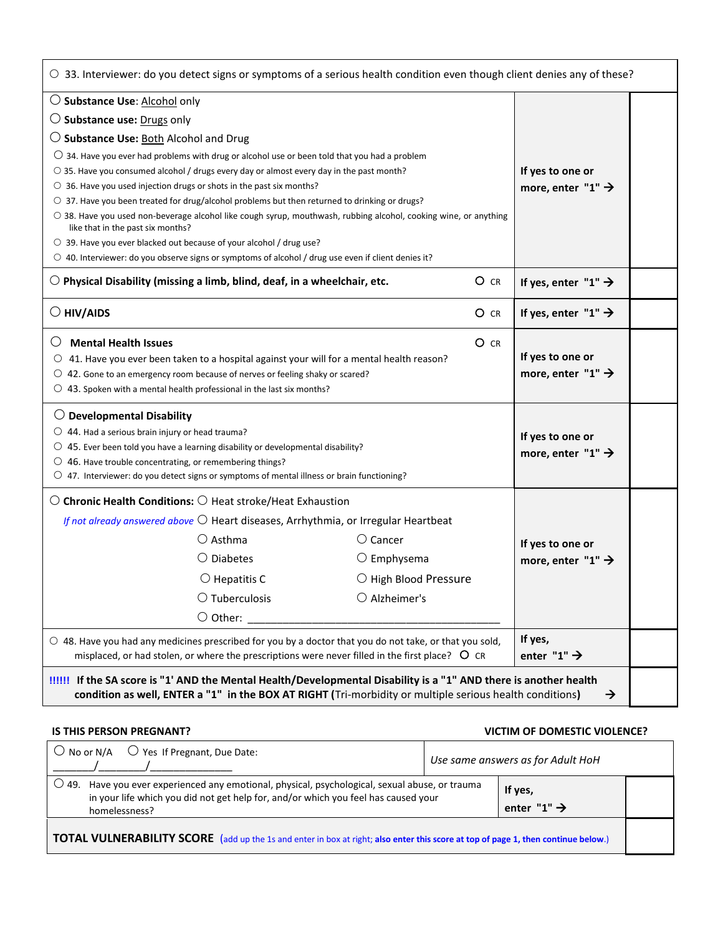| ○ 33. Interviewer: do you detect signs or symptoms of a serious health condition even though client denies any of these?                                                                                                                |                   |        |                                    |  |
|-----------------------------------------------------------------------------------------------------------------------------------------------------------------------------------------------------------------------------------------|-------------------|--------|------------------------------------|--|
| $\bigcirc$ Substance Use: Alcohol only                                                                                                                                                                                                  |                   |        |                                    |  |
| $\bigcirc$ Substance use: Drugs only                                                                                                                                                                                                    |                   |        |                                    |  |
| $\bigcirc$ Substance Use: Both Alcohol and Drug                                                                                                                                                                                         |                   |        |                                    |  |
| $\bigcirc$ 34. Have you ever had problems with drug or alcohol use or been told that you had a problem                                                                                                                                  |                   |        |                                    |  |
| ○ 35. Have you consumed alcohol / drugs every day or almost every day in the past month?                                                                                                                                                |                   |        | If yes to one or                   |  |
| $\circ$ 36. Have you used injection drugs or shots in the past six months?<br>$\circ$ 37. Have you been treated for drug/alcohol problems but then returned to drinking or drugs?                                                       |                   |        | more, enter "1" $\rightarrow$      |  |
| ○ 38. Have you used non-beverage alcohol like cough syrup, mouthwash, rubbing alcohol, cooking wine, or anything<br>like that in the past six months?                                                                                   |                   |        |                                    |  |
| ○ 39. Have you ever blacked out because of your alcohol / drug use?                                                                                                                                                                     |                   |        |                                    |  |
| $\circ$ 40. Interviewer: do you observe signs or symptoms of alcohol / drug use even if client denies it?                                                                                                                               |                   |        |                                    |  |
| $\bigcirc$ Physical Disability (missing a limb, blind, deaf, in a wheelchair, etc.                                                                                                                                                      |                   | $O$ CR | If yes, enter "1" $\rightarrow$    |  |
| $\bigcirc$ HIV/AIDS                                                                                                                                                                                                                     |                   | $O$ CR | If yes, enter "1" $\rightarrow$    |  |
| <b>Mental Health Issues</b>                                                                                                                                                                                                             |                   | O CR   |                                    |  |
| 41. Have you ever been taken to a hospital against your will for a mental health reason?<br>O                                                                                                                                           |                   |        | If yes to one or                   |  |
| $\circ$ 42. Gone to an emergency room because of nerves or feeling shaky or scared?                                                                                                                                                     |                   |        | more, enter "1" $\rightarrow$      |  |
| $\circ$ 43. Spoken with a mental health professional in the last six months?                                                                                                                                                            |                   |        |                                    |  |
| $\bigcirc$ Developmental Disability                                                                                                                                                                                                     |                   |        |                                    |  |
| $\bigcirc$ 44. Had a serious brain injury or head trauma?                                                                                                                                                                               |                   |        | If yes to one or                   |  |
| $\circ$ 45. Ever been told you have a learning disability or developmental disability?                                                                                                                                                  |                   |        | more, enter "1" $\rightarrow$      |  |
| $\circ$ 46. Have trouble concentrating, or remembering things?<br>$\circ$ 47. Interviewer: do you detect signs or symptoms of mental illness or brain functioning?                                                                      |                   |        |                                    |  |
| $\bigcirc$ Chronic Health Conditions: $\bigcirc$ Heat stroke/Heat Exhaustion                                                                                                                                                            |                   |        |                                    |  |
| If not already answered above $\bigcirc$ Heart diseases, Arrhythmia, or Irregular Heartbeat                                                                                                                                             |                   |        |                                    |  |
| $\bigcirc$ Asthma                                                                                                                                                                                                                       | $\bigcirc$ Cancer |        | If yes to one or                   |  |
| $\bigcirc$ Diabetes<br>$\circlearrowright$ Emphysema                                                                                                                                                                                    |                   |        | more, enter "1" $\rightarrow$      |  |
| $\bigcirc$ Hepatitis C<br>O High Blood Pressure                                                                                                                                                                                         |                   |        |                                    |  |
| $\bigcirc$ Tuberculosis<br>$\bigcirc$ Alzheimer's                                                                                                                                                                                       |                   |        |                                    |  |
| $\bigcirc$ Other:                                                                                                                                                                                                                       |                   |        |                                    |  |
| $\circ$ 48. Have you had any medicines prescribed for you by a doctor that you do not take, or that you sold,<br>misplaced, or had stolen, or where the prescriptions were never filled in the first place? $\circ$ CR                  |                   |        | If yes,<br>enter "1" $\rightarrow$ |  |
| If the SA score is "1' AND the Mental Health/Developmental Disability is a "1" AND there is another health<br>condition as well, ENTER a "1" in the BOX AT RIGHT (Tri-morbidity or multiple serious health conditions)<br>$\rightarrow$ |                   |        |                                    |  |

#### **IS THIS PERSON PREGNANT? VICTIM OF DOMESTIC VIOLENCE?**

| $\bigcirc$ No or N/A $\bigcirc$ Yes If Pregnant, Due Date:                                                                                                                                                                                 |  | Use same answers as for Adult HoH |  |  |
|--------------------------------------------------------------------------------------------------------------------------------------------------------------------------------------------------------------------------------------------|--|-----------------------------------|--|--|
| 49. Have you ever experienced any emotional, physical, psychological, sexual abuse, or trauma<br>If yes,<br>in your life which you did not get help for, and/or which you feel has caused your<br>enter "1" $\rightarrow$<br>homelessness? |  |                                   |  |  |
| <b>TOTAL VULNERABILITY SCORE</b> (add up the 1s and enter in box at right; also enter this score at top of page 1, then continue below.)                                                                                                   |  |                                   |  |  |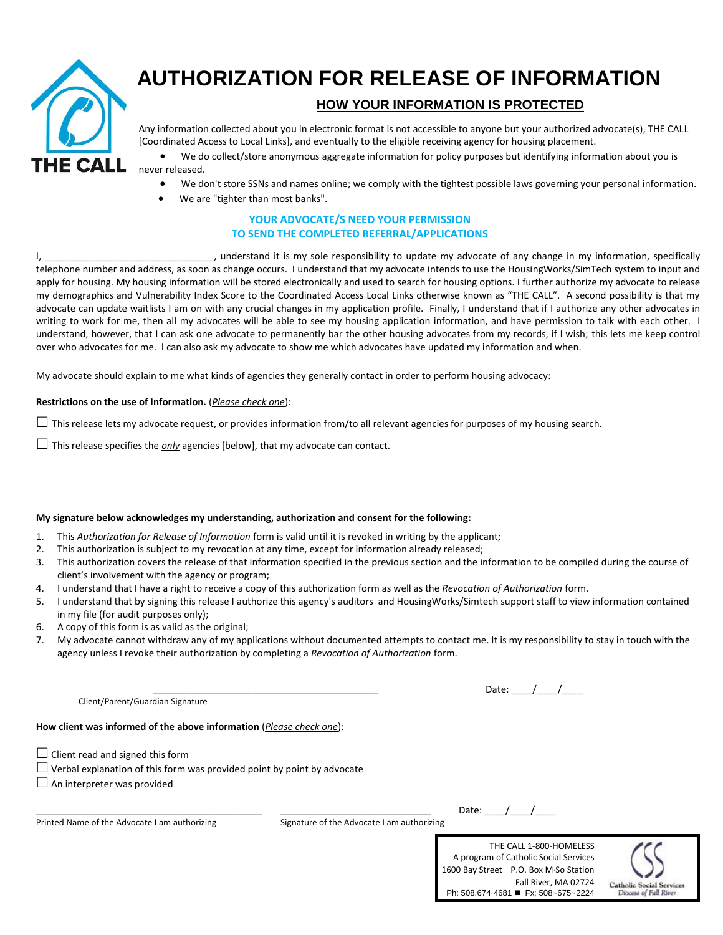

 $\overline{a}$  $\overline{a}$ 

# **AUTHORIZATION FOR RELEASE OF INFORMATION**

## **HOW YOUR INFORMATION IS PROTECTED**

Any information collected about you in electronic format is not accessible to anyone but your authorized advocate(s), THE CALL [Coordinated Access to Local Links], and eventually to the eligible receiving agency for housing placement.

 We do collect/store anonymous aggregate information for policy purposes but identifying information about you is never released.

- We don't store SSNs and names online; we comply with the tightest possible laws governing your personal information.
- We are "tighter than most banks".

#### **YOUR ADVOCATE/S NEED YOUR PERMISSION TO SEND THE COMPLETED REFERRAL/APPLICATIONS**

I, \_\_\_\_\_\_\_\_\_\_\_\_\_\_\_\_\_\_\_\_\_\_\_\_\_\_\_\_\_\_\_\_\_, understand it is my sole responsibility to update my advocate of any change in my information, specifically telephone number and address, as soon as change occurs. I understand that my advocate intends to use the HousingWorks/SimTech system to input and apply for housing. My housing information will be stored electronically and used to search for housing options. I further authorize my advocate to release my demographics and Vulnerability Index Score to the Coordinated Access Local Links otherwise known as "THE CALL". A second possibility is that my advocate can update waitlists I am on with any crucial changes in my application profile. Finally, I understand that if I authorize any other advocates in writing to work for me, then all my advocates will be able to see my housing application information, and have permission to talk with each other. I understand, however, that I can ask one advocate to permanently bar the other housing advocates from my records, if I wish; this lets me keep control over who advocates for me. I can also ask my advocate to show me which advocates have updated my information and when.

My advocate should explain to me what kinds of agencies they generally contact in order to perform housing advocacy:

#### **Restrictions on the use of Information.** (*Please check one*):

 $\Box$  This release lets my advocate request, or provides information from/to all relevant agencies for purposes of my housing search.

 $\Box$  This release specifies the *only* agencies [below], that my advocate can contact.

#### **My signature below acknowledges my understanding, authorization and consent for the following:**

- 1. This *Authorization for Release of Information* form is valid until it is revoked in writing by the applicant;
- 2. This authorization is subject to my revocation at any time, except for information already released;
- 3. This authorization covers the release of that information specified in the previous section and the information to be compiled during the course of client's involvement with the agency or program;
- 4. I understand that I have a right to receive a copy of this authorization form as well as the *Revocation of Authorization* form.
- 5. I understand that by signing this release I authorize this agency's auditors and HousingWorks/Simtech support staff to view information contained in my file (for audit purposes only);
- 6. A copy of this form is as valid as the original;
- 7. My advocate cannot withdraw any of my applications without documented attempts to contact me. It is my responsibility to stay in touch with the agency unless I revoke their authorization by completing a *Revocation of Authorization* form.

| Client/Parent/Guardian Signature |  |
|----------------------------------|--|
|                                  |  |

**How client was informed of the above information** (*Please check one*):

- $\Box$  Client read and signed this form
- $\Box$  Verbal explanation of this form was provided point by point by advocate
- $\Box$  An interpreter was provided

Printed Name of the Advocate I am authorizing Signature of the Advocate I am authorizing

Date:  $\overline{\phantom{a}}$  /

THE CALL 1-800-HOMELESS A program of Catholic Social Services 1600 Bay Street P.O. Box M·So Station Fall River, MA 02724 Ph: 508.674-4681 **■** Fx: 508~675~2224

Date:  $/$  /

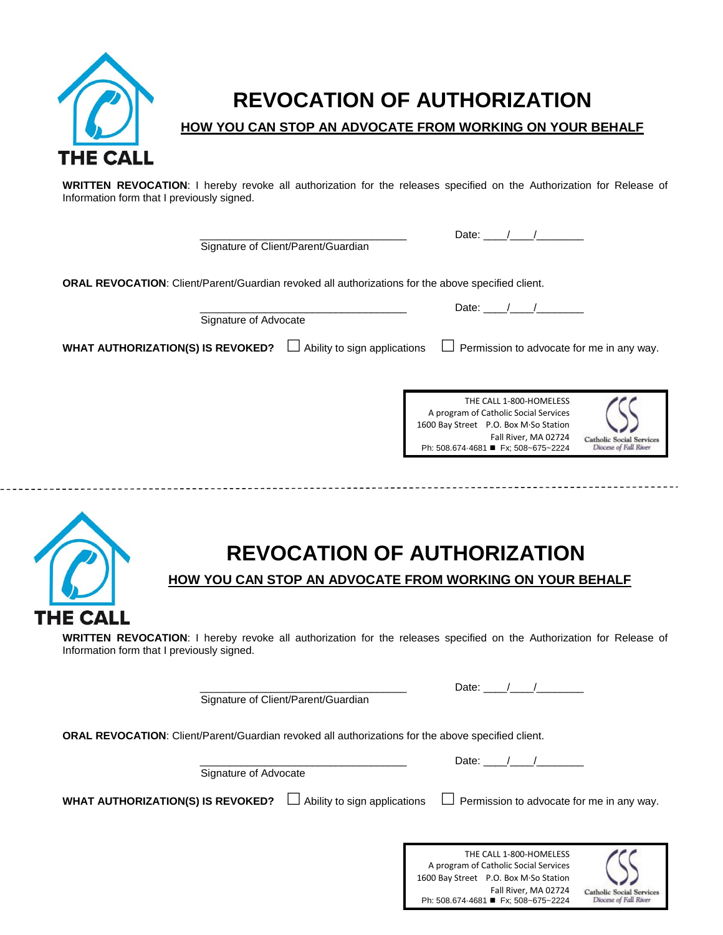

THE CALL

# **REVOCATION OF AUTHORIZATION**

**HOW YOU CAN STOP AN ADVOCATE FROM WORKING ON YOUR BEHALF**

**WRITTEN REVOCATION**: I hereby revoke all authorization for the releases specified on the Authorization for Release of Information form that I previously signed.

Signature of Client/Parent/Guardian

Date:  $\frac{1}{2}$  /

**ORAL REVOCATION**: Client/Parent/Guardian revoked all authorizations for the above specified client.

| Signature of Advocate                                                    | Date:                                                                                                                                                                    |                                                          |
|--------------------------------------------------------------------------|--------------------------------------------------------------------------------------------------------------------------------------------------------------------------|----------------------------------------------------------|
| <b>WHAT AUTHORIZATION(S) IS REVOKED?</b><br>Ability to sign applications | Permission to advocate for me in any way.<br>$\Box$                                                                                                                      |                                                          |
|                                                                          | THE CALL 1-800-HOMELESS<br>A program of Catholic Social Services<br>1600 Bay Street P.O. Box M·So Station<br>Fall River, MA 02724<br>Ph: 508.674-4681 ■ Fx; 508~675~2224 | <b>Catholic Social Services</b><br>Diocese of Fall River |
|                                                                          |                                                                                                                                                                          |                                                          |

# **REVOCATION OF AUTHORIZATION**

**HOW YOU CAN STOP AN ADVOCATE FROM WORKING ON YOUR BEHALF**

**WRITTEN REVOCATION**: I hereby revoke all authorization for the releases specified on the Authorization for Release of Information form that I previously signed.

Signature of Client/Parent/Guardian

Date:  $\frac{1}{2}$   $\frac{1}{2}$   $\frac{1}{2}$ 

**ORAL REVOCATION**: Client/Parent/Guardian revoked all authorizations for the above specified client.

Signature of Advocate

Date:  $/$  /

**WHAT AUTHORIZATION(S) IS REVOKED?**  $\Box$  Ability to sign applications  $\Box$  Permission to advocate for me in any way.

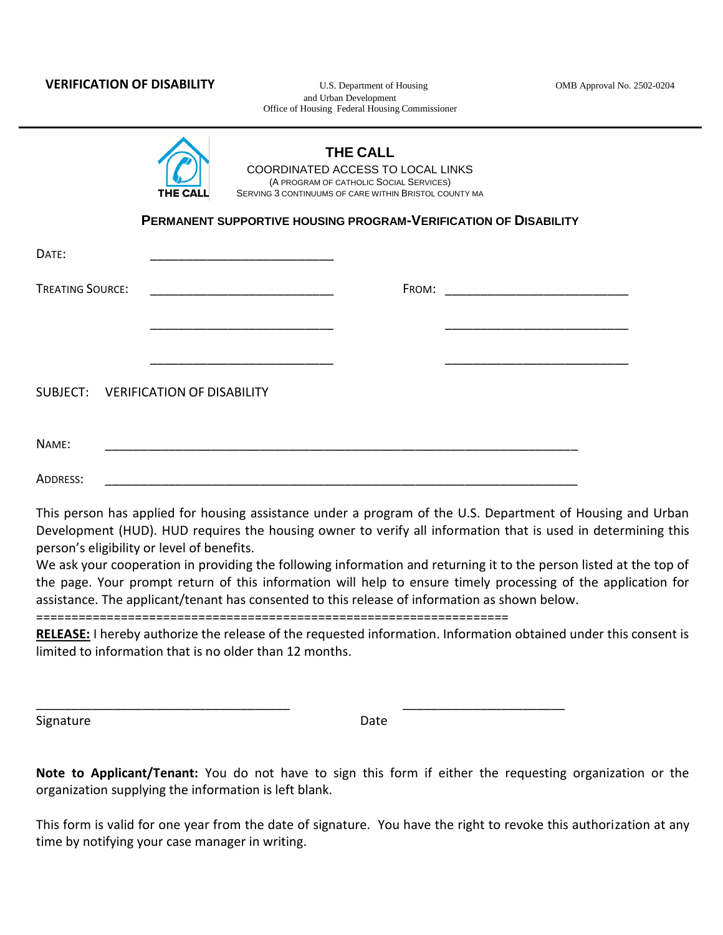and Urban Development Office of Housing Federal Housing Commissioner

|                                            | THE CALL | SERVING 3 CONTINUUMS OF CARE WITHIN BRISTOL COUNTY MA | PERMANENT SUPPORTIVE HOUSING PROGRAM-VERIFICATION OF DISABILITY                                                                                                                                                                                                                                                                                  |  |
|--------------------------------------------|----------|-------------------------------------------------------|--------------------------------------------------------------------------------------------------------------------------------------------------------------------------------------------------------------------------------------------------------------------------------------------------------------------------------------------------|--|
| DATE:                                      |          |                                                       |                                                                                                                                                                                                                                                                                                                                                  |  |
| <b>TREATING SOURCE:</b>                    |          |                                                       |                                                                                                                                                                                                                                                                                                                                                  |  |
|                                            |          |                                                       |                                                                                                                                                                                                                                                                                                                                                  |  |
|                                            |          |                                                       |                                                                                                                                                                                                                                                                                                                                                  |  |
| SUBJECT: VERIFICATION OF DISABILITY        |          |                                                       |                                                                                                                                                                                                                                                                                                                                                  |  |
| NAME:                                      |          |                                                       |                                                                                                                                                                                                                                                                                                                                                  |  |
| ADDRESS:                                   |          |                                                       |                                                                                                                                                                                                                                                                                                                                                  |  |
| person's eligibility or level of benefits. |          |                                                       | This person has applied for housing assistance under a program of the U.S. Department of Housing and Urban<br>Development (HUD). HUD requires the housing owner to verify all information that is used in determining this<br>We ask your cooperation in providing the following information and returning it to the person listed at the top of |  |
|                                            |          |                                                       | the page. Your prompt return of this information will help to ensure timely processing of the application for<br>assistance. The applicant/tenant has consented to this release of information as shown below.                                                                                                                                   |  |

===================================================================

\_\_\_\_\_\_\_\_\_\_\_\_\_\_\_\_\_\_\_\_\_\_\_\_\_\_\_\_\_\_\_\_\_\_\_\_ \_\_\_\_\_\_\_\_\_\_\_\_\_\_\_\_\_\_\_\_\_\_\_

**RELEASE:** I hereby authorize the release of the requested information. Information obtained under this consent is limited to information that is no older than 12 months.

Signature Date Date

**Note to Applicant/Tenant:** You do not have to sign this form if either the requesting organization or the organization supplying the information is left blank.

This form is valid for one year from the date of signature. You have the right to revoke this authorization at any time by notifying your case manager in writing.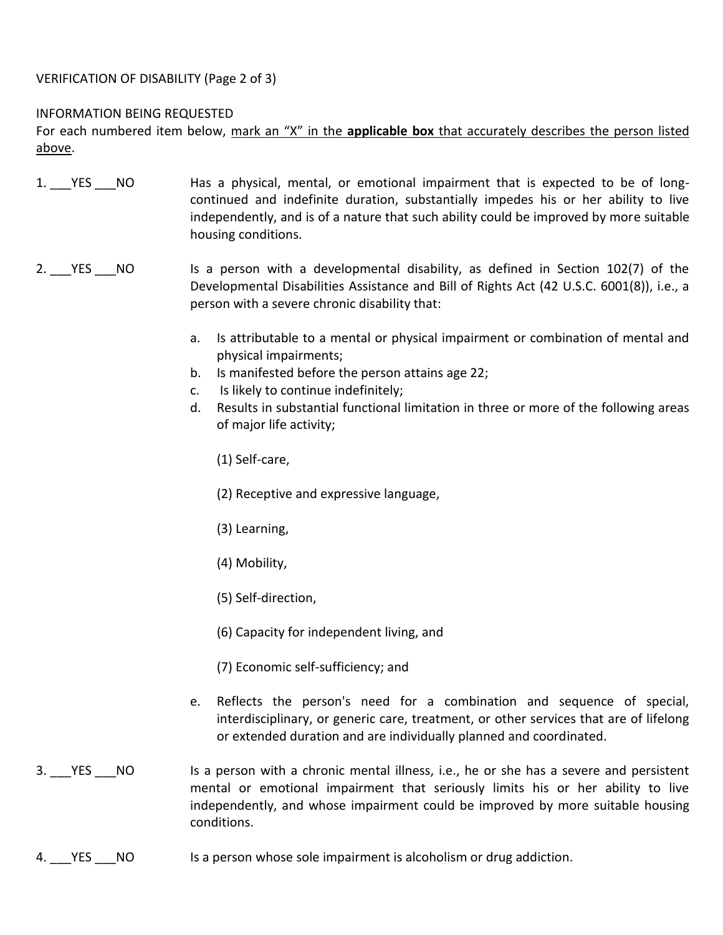### VERIFICATION OF DISABILITY (Page 2 of 3)

#### INFORMATION BEING REQUESTED

For each numbered item below, mark an "X" in the **applicable box** that accurately describes the person listed above.

- 1. The No Tas a physical, mental, or emotional impairment that is expected to be of longcontinued and indefinite duration, substantially impedes his or her ability to live independently, and is of a nature that such ability could be improved by more suitable housing conditions.
- 2. YES NO Is a person with a developmental disability, as defined in Section 102(7) of the Developmental Disabilities Assistance and Bill of Rights Act (42 U.S.C. 6001(8)), i.e., a person with a severe chronic disability that:
	- a. Is attributable to a mental or physical impairment or combination of mental and physical impairments;
	- b. Is manifested before the person attains age 22;
	- c. Is likely to continue indefinitely;
	- d. Results in substantial functional limitation in three or more of the following areas of major life activity;
		- (1) Self-care,
		- (2) Receptive and expressive language,
		- (3) Learning,
		- (4) Mobility,
		- (5) Self-direction,
		- (6) Capacity for independent living, and
		- (7) Economic self-sufficiency; and
	- e. Reflects the person's need for a combination and sequence of special, interdisciplinary, or generic care, treatment, or other services that are of lifelong or extended duration and are individually planned and coordinated.
- 3. YES NO Is a person with a chronic mental illness, i.e., he or she has a severe and persistent mental or emotional impairment that seriously limits his or her ability to live independently, and whose impairment could be improved by more suitable housing conditions.
- 4. YES NO Is a person whose sole impairment is alcoholism or drug addiction.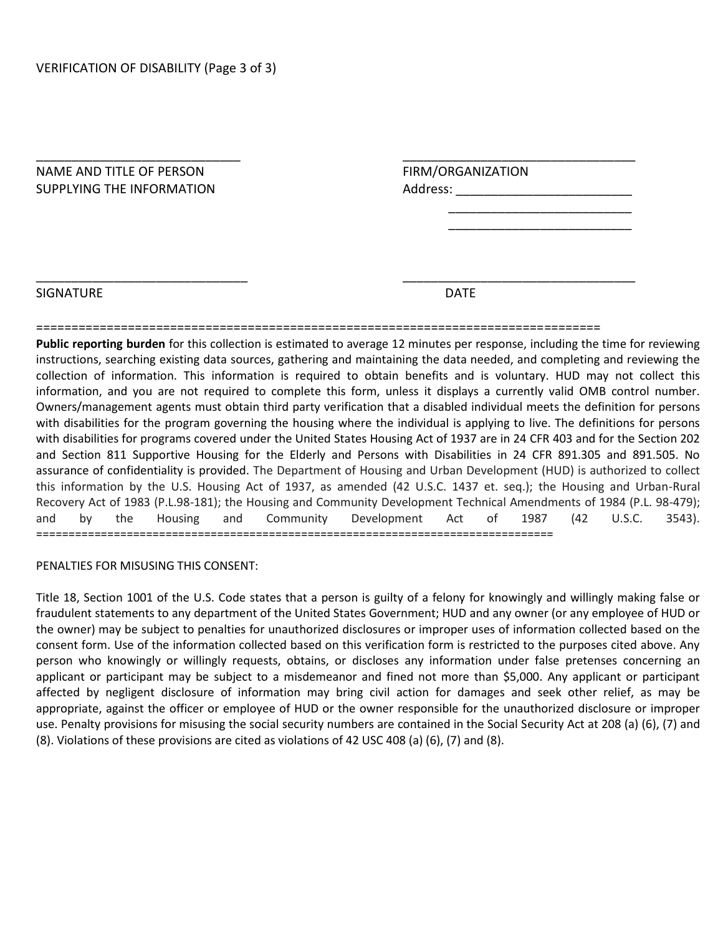| FIRM/ORGANIZATION |
|-------------------|
| Address:          |
|                   |
|                   |
|                   |
|                   |

#### SIGNATURE DATE DESCRIPTION OF PROPERTY AND LOCAL DATE OF PROPERTY AND LOCAL DATE.

#### ================================================================================

\_\_\_\_\_\_\_\_\_\_\_\_\_\_\_\_\_\_\_\_\_\_\_\_\_\_\_\_\_\_ \_\_\_\_\_\_\_\_\_\_\_\_\_\_\_\_\_\_\_\_\_\_\_\_\_\_\_\_\_\_\_\_\_

**Public reporting burden** for this collection is estimated to average 12 minutes per response, including the time for reviewing instructions, searching existing data sources, gathering and maintaining the data needed, and completing and reviewing the collection of information. This information is required to obtain benefits and is voluntary. HUD may not collect this information, and you are not required to complete this form, unless it displays a currently valid OMB control number. Owners/management agents must obtain third party verification that a disabled individual meets the definition for persons with disabilities for the program governing the housing where the individual is applying to live. The definitions for persons with disabilities for programs covered under the United States Housing Act of 1937 are in 24 CFR 403 and for the Section 202 and Section 811 Supportive Housing for the Elderly and Persons with Disabilities in 24 CFR 891.305 and 891.505. No assurance of confidentiality is provided. The Department of Housing and Urban Development (HUD) is authorized to collect this information by the U.S. Housing Act of 1937, as amended (42 U.S.C. 1437 et. seq.); the Housing and Urban-Rural Recovery Act of 1983 (P.L.98-181); the Housing and Community Development Technical Amendments of 1984 (P.L. 98-479); and by the Housing and Community Development Act of 1987 (42 U.S.C. 3543). ================================================================================

#### PENALTIES FOR MISUSING THIS CONSENT:

Title 18, Section 1001 of the U.S. Code states that a person is guilty of a felony for knowingly and willingly making false or fraudulent statements to any department of the United States Government; HUD and any owner (or any employee of HUD or the owner) may be subject to penalties for unauthorized disclosures or improper uses of information collected based on the consent form. Use of the information collected based on this verification form is restricted to the purposes cited above. Any person who knowingly or willingly requests, obtains, or discloses any information under false pretenses concerning an applicant or participant may be subject to a misdemeanor and fined not more than \$5,000. Any applicant or participant affected by negligent disclosure of information may bring civil action for damages and seek other relief, as may be appropriate, against the officer or employee of HUD or the owner responsible for the unauthorized disclosure or improper use. Penalty provisions for misusing the social security numbers are contained in the Social Security Act at 208 (a) (6), (7) and (8). Violations of these provisions are cited as violations of 42 USC 408 (a) (6), (7) and (8).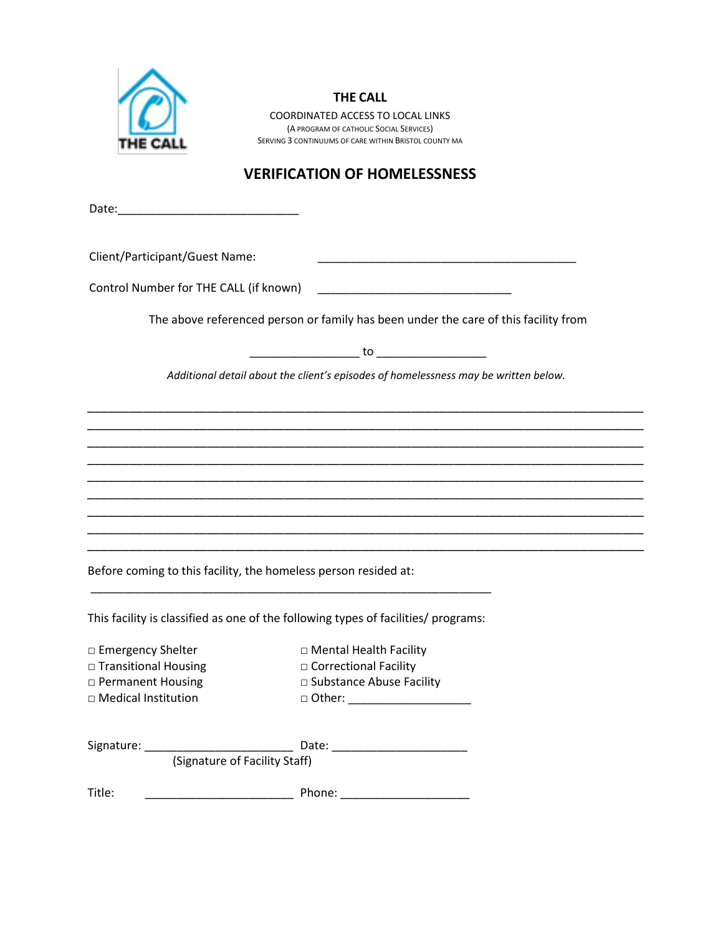

#### **THE CALL**

COORDINATED ACCESS TO LOCAL LINKS (A PROGRAM OF CATHOLIC SOCIAL SERVICES) SERVING 3 CONTINUUMS OF CARE WITHIN BRISTOL COUNTY MA

# **VERIFICATION OF HOMELESSNESS**

Date:\_\_\_\_\_\_\_\_\_\_\_\_\_\_\_\_\_\_\_\_\_\_\_\_\_\_\_\_

Client/Participant/Guest Name: \_\_\_\_\_\_\_\_\_\_\_\_\_\_\_\_\_\_\_\_\_\_\_\_\_\_\_\_\_\_\_\_\_\_\_\_\_\_\_\_

Control Number for THE CALL (if known) \_\_\_\_\_\_\_\_\_\_\_\_\_\_\_\_\_\_\_\_\_\_\_\_\_\_\_\_\_\_

The above referenced person or family has been under the care of this facility from

\_\_\_\_\_\_\_\_\_\_\_\_\_\_\_\_\_ to \_\_\_\_\_\_\_\_\_\_\_\_\_\_\_\_\_

*Additional detail about the client's episodes of homelessness may be written below.*

*\_\_\_\_\_\_\_\_\_\_\_\_\_\_\_\_\_\_\_\_\_\_\_\_\_\_\_\_\_\_\_\_\_\_\_\_\_\_\_\_\_\_\_\_\_\_\_\_\_\_\_\_\_\_\_\_\_\_\_\_\_\_\_\_\_\_\_\_\_\_\_\_\_\_\_\_\_\_\_ \_\_\_\_\_\_\_\_\_\_\_\_\_\_\_\_\_\_\_\_\_\_\_\_\_\_\_\_\_\_\_\_\_\_\_\_\_\_\_\_\_\_\_\_\_\_\_\_\_\_\_\_\_\_\_\_\_\_\_\_\_\_\_\_\_\_\_\_\_\_\_\_\_\_\_\_\_\_\_ \_\_\_\_\_\_\_\_\_\_\_\_\_\_\_\_\_\_\_\_\_\_\_\_\_\_\_\_\_\_\_\_\_\_\_\_\_\_\_\_\_\_\_\_\_\_\_\_\_\_\_\_\_\_\_\_\_\_\_\_\_\_\_\_\_\_\_\_\_\_\_\_\_\_\_\_\_\_\_ \_\_\_\_\_\_\_\_\_\_\_\_\_\_\_\_\_\_\_\_\_\_\_\_\_\_\_\_\_\_\_\_\_\_\_\_\_\_\_\_\_\_\_\_\_\_\_\_\_\_\_\_\_\_\_\_\_\_\_\_\_\_\_\_\_\_\_\_\_\_\_\_\_\_\_\_\_\_\_ \_\_\_\_\_\_\_\_\_\_\_\_\_\_\_\_\_\_\_\_\_\_\_\_\_\_\_\_\_\_\_\_\_\_\_\_\_\_\_\_\_\_\_\_\_\_\_\_\_\_\_\_\_\_\_\_\_\_\_\_\_\_\_\_\_\_\_\_\_\_\_\_\_\_\_\_\_\_\_ \_\_\_\_\_\_\_\_\_\_\_\_\_\_\_\_\_\_\_\_\_\_\_\_\_\_\_\_\_\_\_\_\_\_\_\_\_\_\_\_\_\_\_\_\_\_\_\_\_\_\_\_\_\_\_\_\_\_\_\_\_\_\_\_\_\_\_\_\_\_\_\_\_\_\_\_\_\_\_ \_\_\_\_\_\_\_\_\_\_\_\_\_\_\_\_\_\_\_\_\_\_\_\_\_\_\_\_\_\_\_\_\_\_\_\_\_\_\_\_\_\_\_\_\_\_\_\_\_\_\_\_\_\_\_\_\_\_\_\_\_\_\_\_\_\_\_\_\_\_\_\_\_\_\_\_\_\_\_ \_\_\_\_\_\_\_\_\_\_\_\_\_\_\_\_\_\_\_\_\_\_\_\_\_\_\_\_\_\_\_\_\_\_\_\_\_\_\_\_\_\_\_\_\_\_\_\_\_\_\_\_\_\_\_\_\_\_\_\_\_\_\_\_\_\_\_\_\_\_\_\_\_\_\_\_\_\_\_ \_\_\_\_\_\_\_\_\_\_\_\_\_\_\_\_\_\_\_\_\_\_\_\_\_\_\_\_\_\_\_\_\_\_\_\_\_\_\_\_\_\_\_\_\_\_\_\_\_\_\_\_\_\_\_\_\_\_\_\_\_\_\_\_\_\_\_\_\_\_\_\_\_\_\_\_\_\_\_*

Before coming to this facility, the homeless person resided at:

This facility is classified as one of the following types of facilities/ programs:

\_\_\_\_\_\_\_\_\_\_\_\_\_\_\_\_\_\_\_\_\_\_\_\_\_\_\_\_\_\_\_\_\_\_\_\_\_\_\_\_\_\_\_\_\_\_\_\_\_\_\_\_\_\_\_\_\_\_\_\_\_\_

| $\Box$ Emergency Shelter    | □ Mental Health Facility        |
|-----------------------------|---------------------------------|
| $\Box$ Transitional Housing | □ Correctional Facility         |
| $\Box$ Permanent Housing    | $\Box$ Substance Abuse Facility |

|  | $\Box$ Medical Institution |
|--|----------------------------|

- 
- □ Medical Institution □ Other: \_\_\_\_\_\_\_\_\_\_\_\_\_\_\_\_\_\_\_

| Signature: | Date:                         |  |
|------------|-------------------------------|--|
|            | (Signature of Facility Staff) |  |
| Title:     | Phone:                        |  |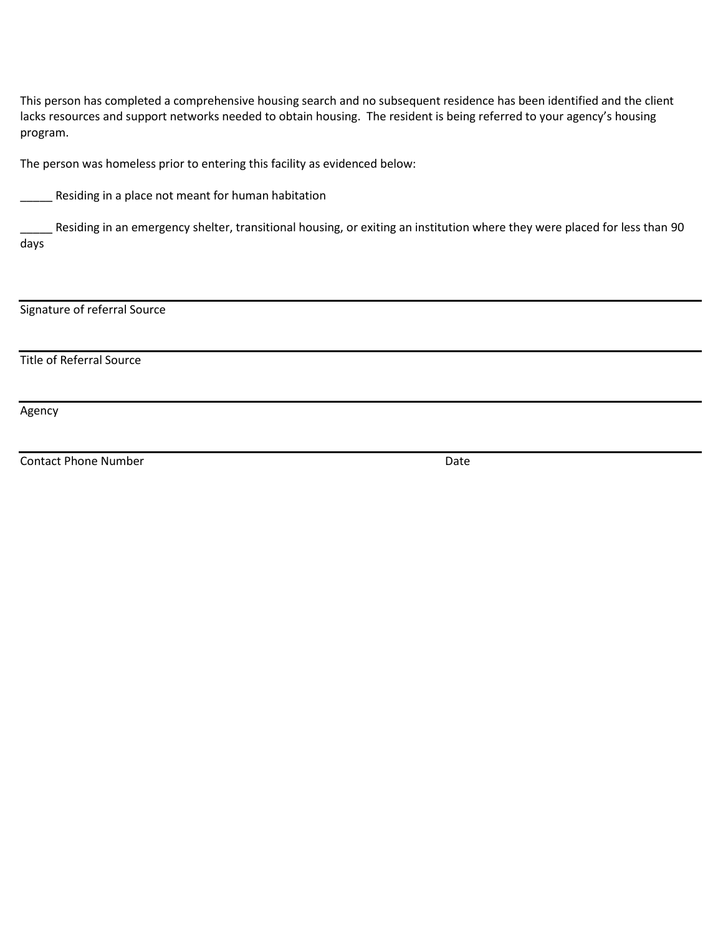This person has completed a comprehensive housing search and no subsequent residence has been identified and the client lacks resources and support networks needed to obtain housing. The resident is being referred to your agency's housing program.

The person was homeless prior to entering this facility as evidenced below:

\_\_\_\_\_ Residing in a place not meant for human habitation

Residing in an emergency shelter, transitional housing, or exiting an institution where they were placed for less than 90 days

Signature of referral Source

Title of Referral Source

Agency

Contact Phone Number Date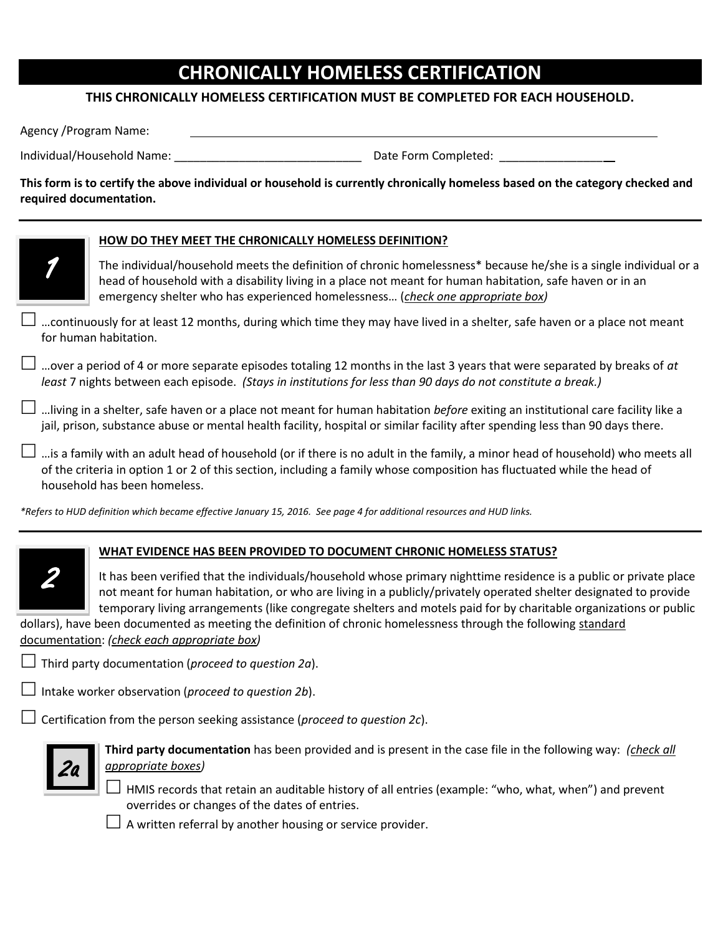# **CHRONICALLY HOMELESS CERTIFICATION**

### **THIS CHRONICALLY HOMELESS CERTIFICATION MUST BE COMPLETED FOR EACH HOUSEHOLD.**

Agency /Program Name:

Individual/Household Name: example the state of the Date Form Completed:  $\Box$ 

**This form is to certify the above individual or household is currently chronically homeless based on the category checked and required documentation.**



#### **HOW DO THEY MEET THE CHRONICALLY HOMELESS DEFINITION?**

The individual/household meets the definition of chronic homelessness\* because he/she is a single individual or a head of household with a disability living in a place not meant for human habitation, safe haven or in an emergency shelter who has experienced homelessness… (*check one appropriate box)*

 …continuously for at least 12 months, during which time they may have lived in a shelter, safe haven or a place not meant for human habitation.

 …over a period of 4 or more separate episodes totaling 12 months in the last 3 years that were separated by breaks of *at least* 7 nights between each episode. *(Stays in institutions for less than 90 days do not constitute a break.)*

 …living in a shelter, safe haven or a place not meant for human habitation *before* exiting an institutional care facility like a jail, prison, substance abuse or mental health facility, hospital or similar facility after spending less than 90 days there.

…is a family with an adult head of household (or if there is no adult in the family, a minor head of household) who meets all of the criteria in option 1 or 2 of this section, including a family whose composition has fluctuated while the head of household has been homeless.

*\*Refers to HUD definition which became effective January 15, 2016. See page 4 for additional resources and HUD links.* 



### **WHAT EVIDENCE HAS BEEN PROVIDED TO DOCUMENT CHRONIC HOMELESS STATUS?**

It has been verified that the individuals/household whose primary nighttime residence is a public or private place not meant for human habitation, or who are living in a publicly/privately operated shelter designated to provide temporary living arrangements (like congregate shelters and motels paid for by charitable organizations or public

dollars), have been documented as meeting the definition of chronic homelessness through the following standard documentation: *(check each appropriate box)*

Third party documentation (*proceed to question 2a*).

Intake worker observation (*proceed to question 2b*).

Certification from the person seeking assistance (*proceed to question 2c*).



**Third party documentation** has been provided and is present in the case file in the following way: *(check all appropriate boxes)*

 $\Box$  HMIS records that retain an auditable history of all entries (example: "who, what, when") and prevent overrides or changes of the dates of entries.

 $\Box$  A written referral by another housing or service provider.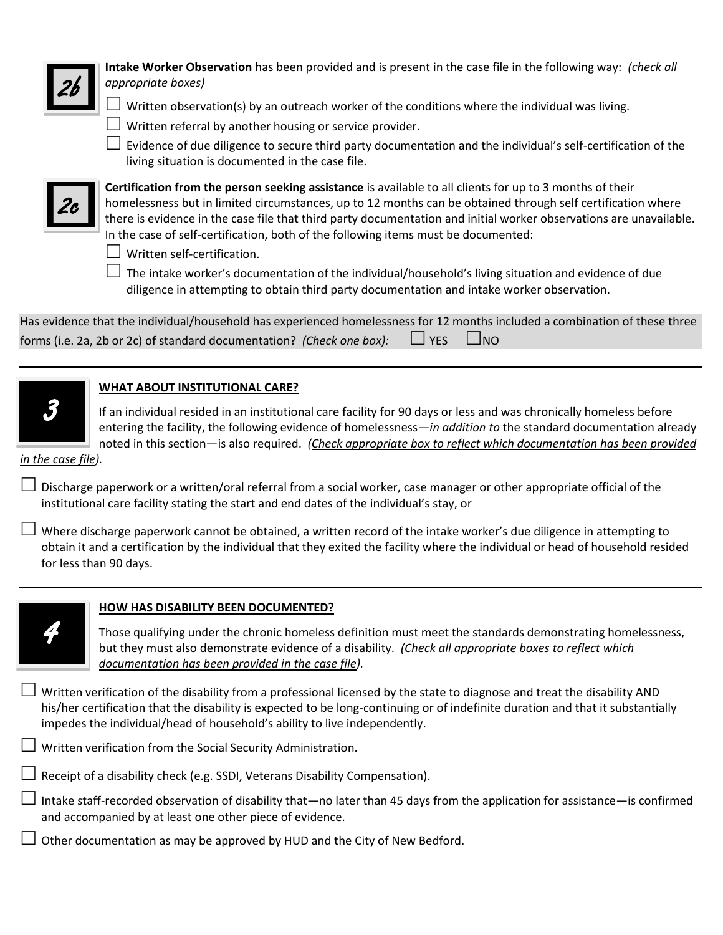

**Intake Worker Observation** has been provided and is present in the case file in the following way: *(check all appropriate boxes)*

- $\Box$  Written observation(s) by an outreach worker of the conditions where the individual was living.
- $\Box$  Written referral by another housing or service provider.
- $\Box$  Evidence of due diligence to secure third party documentation and the individual's self-certification of the living situation is documented in the case file.



**Certification from the person seeking assistance** is available to all clients for up to 3 months of their homelessness but in limited circumstances, up to 12 months can be obtained through self certification where there is evidence in the case file that third party documentation and initial worker observations are unavailable. In the case of self-certification, both of the following items must be documented:

 $\Box$  Written self-certification.

 $\Box$  The intake worker's documentation of the individual/household's living situation and evidence of due diligence in attempting to obtain third party documentation and intake worker observation.

| Has evidence that the individual/household has experienced homelessness for 12 months included a combination of these three |  |
|-----------------------------------------------------------------------------------------------------------------------------|--|
| forms (i.e. 2a, 2b or 2c) of standard documentation? (Check one box): $\Box$ YES $\Box$ NO                                  |  |

### **WHAT ABOUT INSTITUTIONAL CARE?**

If an individual resided in an institutional care facility for 90 days or less and was chronically homeless before entering the facility, the following evidence of homelessness—*in addition to* the standard documentation already noted in this section—is also required. *(Check appropriate box to reflect which documentation has been provided* 

#### *in the case file).*

3

 $\Box$  Discharge paperwork or a written/oral referral from a social worker, case manager or other appropriate official of the institutional care facility stating the start and end dates of the individual's stay, or

 $\perp$  Where discharge paperwork cannot be obtained, a written record of the intake worker's due diligence in attempting to obtain it and a certification by the individual that they exited the facility where the individual or head of household resided for less than 90 days.



### **HOW HAS DISABILITY BEEN DOCUMENTED?**

Those qualifying under the chronic homeless definition must meet the standards demonstrating homelessness, but they must also demonstrate evidence of a disability. *(Check all appropriate boxes to reflect which documentation has been provided in the case file).*

 $\perp$  Written verification of the disability from a professional licensed by the state to diagnose and treat the disability AND his/her certification that the disability is expected to be long-continuing or of indefinite duration and that it substantially impedes the individual/head of household's ability to live independently.

 $\Box$  Written verification from the Social Security Administration.

 $\Box$  Receipt of a disability check (e.g. SSDI, Veterans Disability Compensation).

 $\Box$  Intake staff-recorded observation of disability that—no later than 45 days from the application for assistance—is confirmed and accompanied by at least one other piece of evidence.

 $\Box$  Other documentation as may be approved by HUD and the City of New Bedford.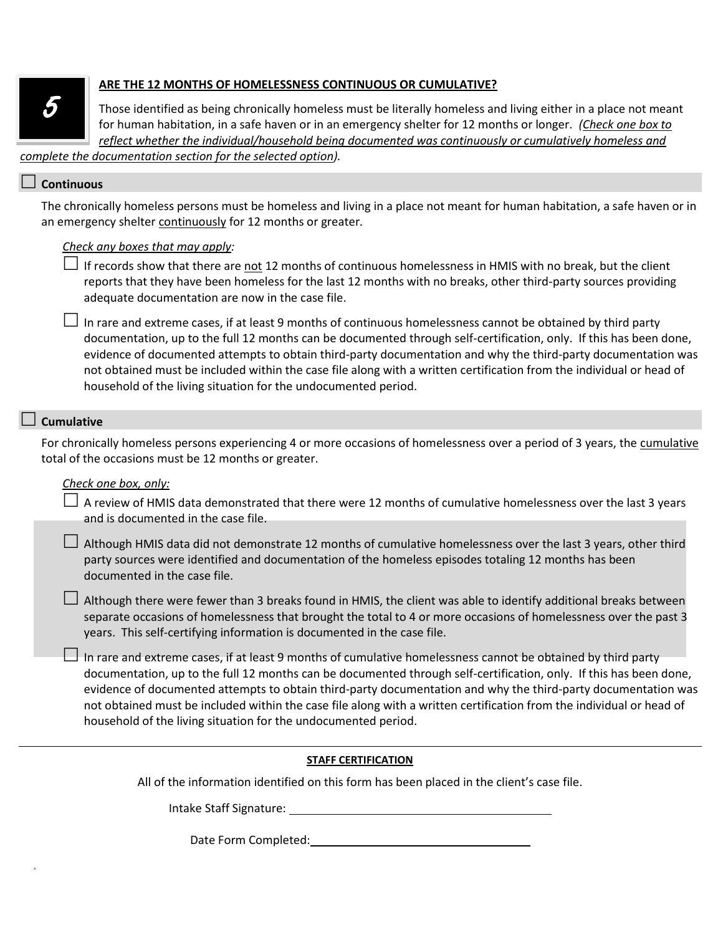

#### **ARE THE 12 MONTHS OF HOMELESSNESS CONTINUOUS OR CUMULATIVE?**

Those identified as being chronically homeless must be literally homeless and living either in a place not meant for human habitation, in a safe haven or in an emergency shelter for 12 months or longer. *(Check one box to reflect whether the individual/household being documented was continuously or cumulatively homeless and* 

*complete the documentation section for the selected option).*

#### **Continuous**

The chronically homeless persons must be homeless and living in a place not meant for human habitation, a safe haven or in an emergency shelter continuously for 12 months or greater*.* 

#### *Check any boxes that may apply:*

If records show that there are not 12 months of continuous homelessness in HMIS with no break, but the client reports that they have been homeless for the last 12 months with no breaks, other third-party sources providing adequate documentation are now in the case file.

 $\Box$  In rare and extreme cases, if at least 9 months of continuous homelessness cannot be obtained by third party documentation, up to the full 12 months can be documented through self-certification, only. If this has been done, evidence of documented attempts to obtain third-party documentation and why the third-party documentation was not obtained must be included within the case file along with a written certification from the individual or head of household of the living situation for the undocumented period.

#### **Cumulative**

s

For chronically homeless persons experiencing 4 or more occasions of homelessness over a period of 3 years, the cumulative total of the occasions must be 12 months or greater.

#### *Check one box, only:*

| $\Box$ A review of HMIS data demonstrated that there were 12 months of cumulative homelessness over the last 3 years |  |
|----------------------------------------------------------------------------------------------------------------------|--|
| and is documented in the case file.                                                                                  |  |

 $\Box$  Although HMIS data did not demonstrate 12 months of cumulative homelessness over the last 3 years, other third party sources were identified and documentation of the homeless episodes totaling 12 months has been documented in the case file.

 $\Box$  Although there were fewer than 3 breaks found in HMIS, the client was able to identify additional breaks between separate occasions of homelessness that brought the total to 4 or more occasions of homelessness over the past 3 years. This self-certifying information is documented in the case file.

 $\Box$  In rare and extreme cases, if at least 9 months of cumulative homelessness cannot be obtained by third party documentation, up to the full 12 months can be documented through self-certification, only. If this has been done, evidence of documented attempts to obtain third-party documentation and why the third-party documentation was not obtained must be included within the case file along with a written certification from the individual or head of household of the living situation for the undocumented period.

#### **STAFF CERTIFICATION**

All of the information identified on this form has been placed in the client's case file.

Intake Staff Signature:

Date Form Completed: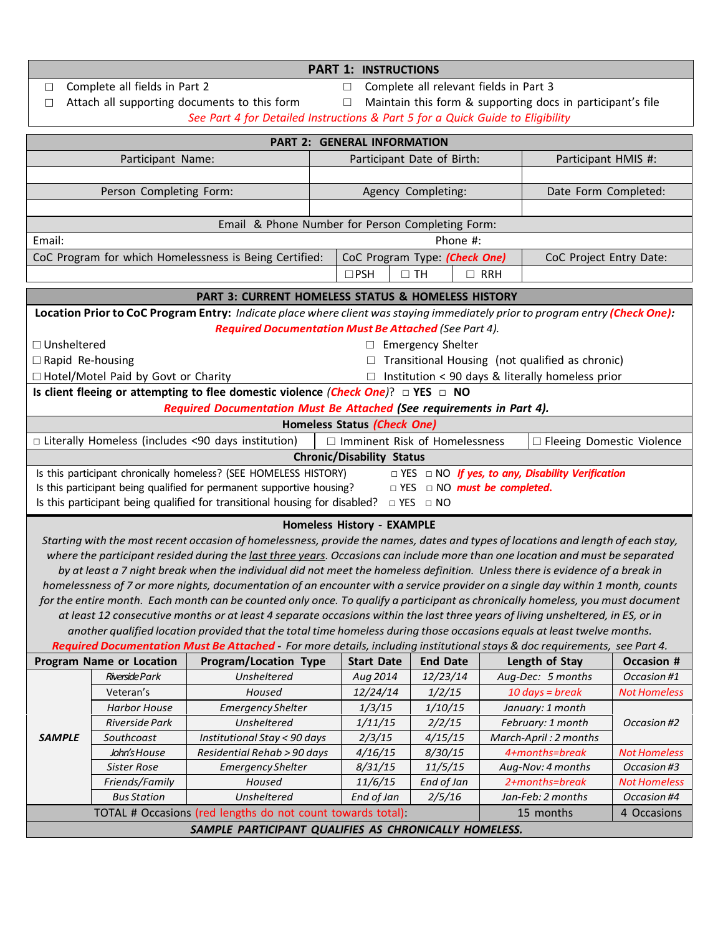### $\Box$ Complete all fields in Part 2 □ Complete all relevant fields in Part 3  $\Box$  Attach all supporting documents to this form  $\Box$  Maintain this form & supporting docs in participant's file *See Part 4 for Detailed Instructions & Part 5 for a Quick Guide to Eligibility***PART 2: GENERAL INFORMATION** Participant Name: Participant Date of Birth: Participant HMIS #: Person Completing Form: The Completing Person Completing: The Date Form Completed: Email & Phone Number for Person Completing Form: Email: Phone #: CoC Program for which Homelessness is Being Certified: CoC Program Type: *(Check One)* CoC Project Entry Date:  $\Box$ PSH  $\Box$  TH  $\Box$  RRH **PART 3: CURRENT HOMELESS STATUS & HOMELESS HISTORY** Location Prior to CoC Program Entry: Indicate place where client was staying immediately prior to program entry (Check One): *Required Documentation Must Be Attached (See Part 4).* □ Unsheltered □ Emergency Shelter  $\square$  Rapid Re-housing  $\square$  Transitional Housing (not qualified as chronic) □ Hotel/Motel Paid by Govt or Charity □ Institution < 90 days & literally homeless prior **Is client fleeing or attempting to flee domestic violence** *(Check One)*? □ **YES** □ **NO** *Required Documentation Must Be Attached (See requirements in Part 4).* **Homeless Status** *(Check One)* □ Literally Homeless (includes <90 days institution) □ Imminent Risk of Homelessness □ Fleeing Domestic Violence **Chronic/Disability Status** Is this participant chronically homeless? (SEE HOMELESS HISTORY) □ YES □ NO *If yes, to any, Disability Verification*  Is this participant being qualified for permanent supportive housing? □ YES □ NO *must be completed***.**  Is this participant being qualified for transitional housing for disabled?  $\Box$  YES  $\Box$  NO **Homeless History ‐ EXAMPLE** Starting with the most recent occasion of homelessness, provide the names, dates and types of locations and length of each stay, where the participant resided during the last three years. Occasions can include more than one location and must be separated by at least a 7 night break when the individual did not meet the homeless definition. Unless there is evidence of a break in homelessness of 7 or more nights, documentation of an encounter with a service provider on a single day within 1 month, counts for the entire month. Each month can be counted only once. To qualify a participant as chronically homeless, you must document at least 12 consecutive months or at least 4 separate occasions within the last three years of living unsheltered, in ES, or in another qualified location provided that the total time homeless during those occasions equals at least twelve months. Required Documentation Must Be Attached - For more details, including institutional stays & doc requirements, see Part 4. **Program Name or Location Program/Location Type Start Date End Date Length of Stay Occasion #** *Riverside Park Unsheltered Aug 2014 12/23/14 Aug‐Dec: 5 months Occasion #1* Veteran's *Housed 12/24/14 1/2/15 10 days = break NotHomeless Harbor House EmergencyShelter 1/3/15 1/10/15 January: 1 month Riverside Park Unsheltered 1/11/15 2/2/15 February: 1 month Occasion #2 SAMPLE Southcoast Institutional Stay < 90 days 2/3/15 4/15/15 March‐April : 2 months John's House Residential Rehab > 90 days 4/16/15 8/30/15 4+months=break NotHomeless* John's House *Sister Rose EmergencyShelter 8/31/15 11/5/15 Aug‐Nov: 4 months Occasion #3 Friends/Family Housed 11/6/15 End of Jan 2+months=break NotHomeless Bus Station Unsheltered End of Jan 2/5/16 Jan‐Feb: 2 months Occasion #4* TOTAL # Occasions (red lengths do not count towards total): 15 months 4 Occasions *SAMPLE PARTICIPANT QUALIFIES AS CHRONICALLY HOMELESS.*

**PART 1: INSTRUCTIONS**